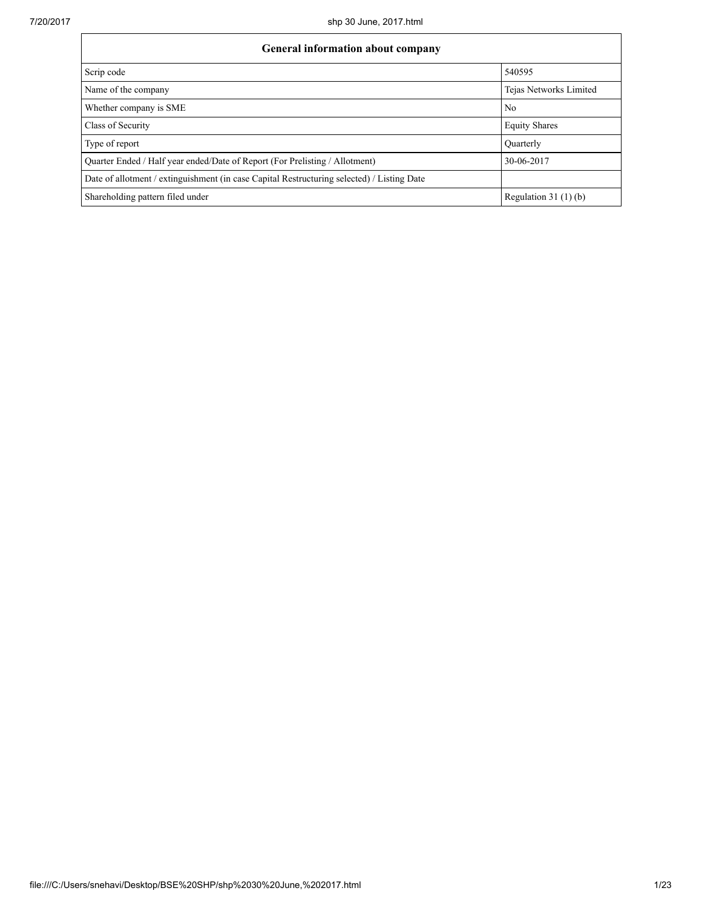| General information about company                                                          |                        |  |  |  |  |  |  |
|--------------------------------------------------------------------------------------------|------------------------|--|--|--|--|--|--|
| Scrip code                                                                                 | 540595                 |  |  |  |  |  |  |
| Name of the company                                                                        | Tejas Networks Limited |  |  |  |  |  |  |
| Whether company is SME                                                                     | N <sub>0</sub>         |  |  |  |  |  |  |
| Class of Security                                                                          | <b>Equity Shares</b>   |  |  |  |  |  |  |
| Type of report                                                                             | Ouarterly              |  |  |  |  |  |  |
| Ouarter Ended / Half year ended/Date of Report (For Prelisting / Allotment)                | 30-06-2017             |  |  |  |  |  |  |
| Date of allotment / extinguishment (in case Capital Restructuring selected) / Listing Date |                        |  |  |  |  |  |  |
| Shareholding pattern filed under                                                           | Regulation 31 $(1)(b)$ |  |  |  |  |  |  |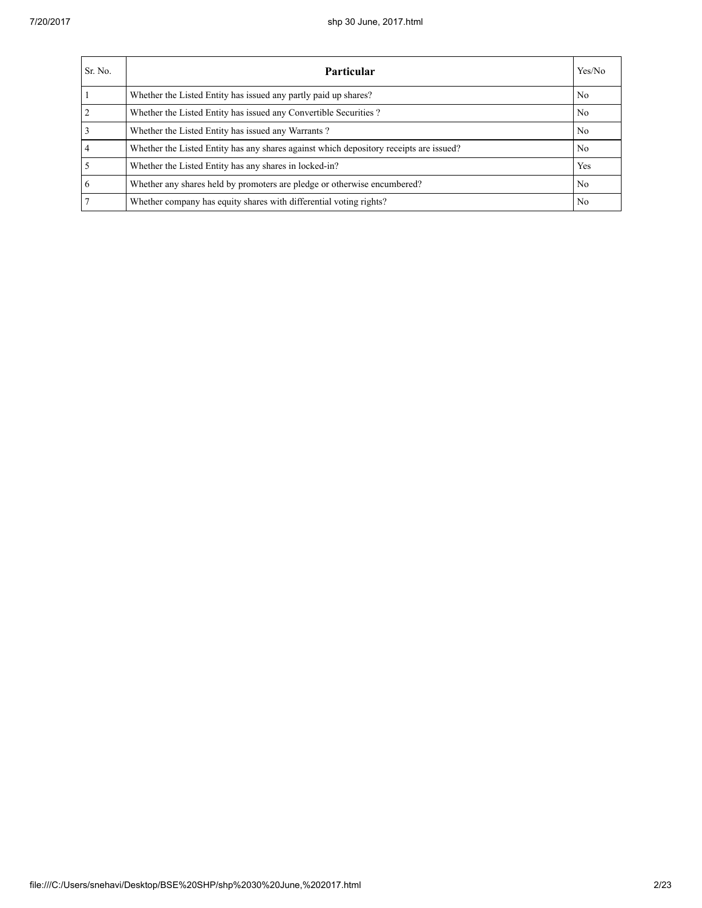| Sr. No.        | Particular                                                                             | Yes/No         |
|----------------|----------------------------------------------------------------------------------------|----------------|
|                | Whether the Listed Entity has issued any partly paid up shares?                        | No             |
| $\overline{2}$ | Whether the Listed Entity has issued any Convertible Securities?                       | No             |
| $\overline{3}$ | Whether the Listed Entity has issued any Warrants?                                     | N <sub>0</sub> |
| $\overline{4}$ | Whether the Listed Entity has any shares against which depository receipts are issued? | No             |
| $\overline{5}$ | Whether the Listed Entity has any shares in locked-in?                                 | Yes            |
| 6              | Whether any shares held by promoters are pledge or otherwise encumbered?               | N <sub>0</sub> |
| $\overline{7}$ | Whether company has equity shares with differential voting rights?                     | No             |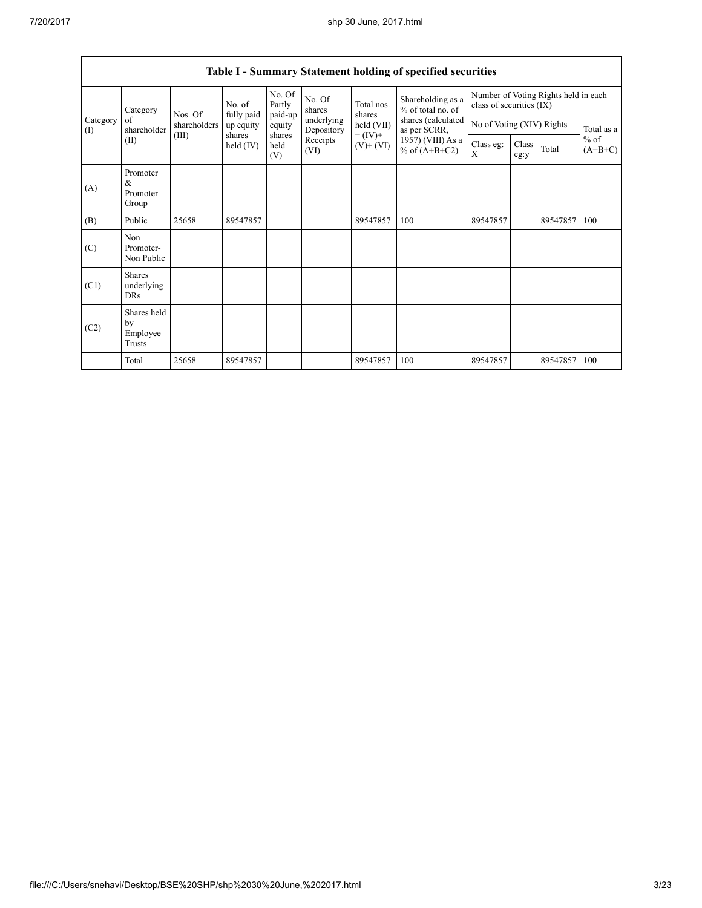|                 | Category                                  | Nos. Of         | No. of<br>fully paid | No. Of<br>Partly<br>paid-up | No. Of<br>shares         | Total nos.<br>shares         | Shareholding as a<br>% of total no. of<br>shares (calculated<br>as per SCRR,<br>1957) (VIII) As a<br>% of $(A+B+C2)$ | Number of Voting Rights held in each<br>class of securities (IX) |               |          |                     |
|-----------------|-------------------------------------------|-----------------|----------------------|-----------------------------|--------------------------|------------------------------|----------------------------------------------------------------------------------------------------------------------|------------------------------------------------------------------|---------------|----------|---------------------|
| Category<br>(I) | of<br>shareholder                         | shareholders    | up equity            | equity                      | underlying<br>Depository | held (VII)                   |                                                                                                                      | No of Voting (XIV) Rights                                        |               |          | Total as a          |
| (II)            |                                           | (III)<br>shares | held (IV)            | shares<br>held<br>(V)       | Receipts<br>(VI)         | $= (IV) +$<br>$(V)$ + $(VI)$ |                                                                                                                      | Class eg:<br>X                                                   | Class<br>eg:y | Total    | $%$ of<br>$(A+B+C)$ |
| (A)             | Promoter<br>$\alpha$<br>Promoter<br>Group |                 |                      |                             |                          |                              |                                                                                                                      |                                                                  |               |          |                     |
| (B)             | Public                                    | 25658           | 89547857             |                             |                          | 89547857                     | 100                                                                                                                  | 89547857                                                         |               | 89547857 | 100                 |
| (C)             | Non<br>Promoter-<br>Non Public            |                 |                      |                             |                          |                              |                                                                                                                      |                                                                  |               |          |                     |
| (C1)            | <b>Shares</b><br>underlying<br><b>DRs</b> |                 |                      |                             |                          |                              |                                                                                                                      |                                                                  |               |          |                     |
| (C2)            | Shares held<br>by<br>Employee<br>Trusts   |                 |                      |                             |                          |                              |                                                                                                                      |                                                                  |               |          |                     |
|                 | Total                                     | 25658           | 89547857             |                             |                          | 89547857                     | 100                                                                                                                  | 89547857                                                         |               | 89547857 | 100                 |

## Table I - Summary Statement holding of specified securities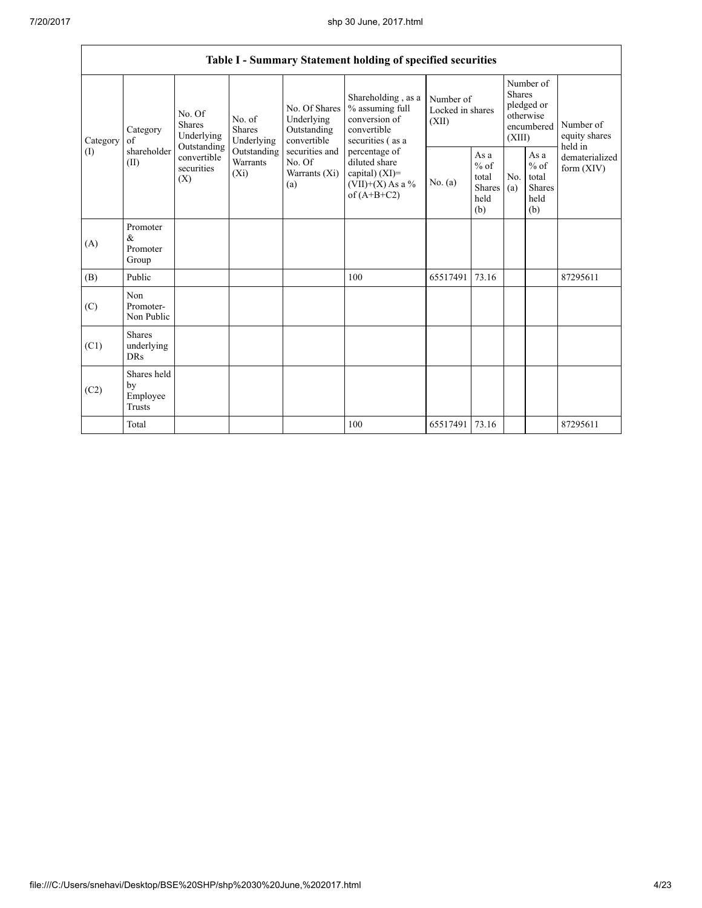| Table I - Summary Statement holding of specified securities |                                                                                                                                                                                                                                                                                                                                                                                                                                                                                                 |           |                                                  |            |                                                  |                                           |       |                                                                               |  |                            |
|-------------------------------------------------------------|-------------------------------------------------------------------------------------------------------------------------------------------------------------------------------------------------------------------------------------------------------------------------------------------------------------------------------------------------------------------------------------------------------------------------------------------------------------------------------------------------|-----------|--------------------------------------------------|------------|--------------------------------------------------|-------------------------------------------|-------|-------------------------------------------------------------------------------|--|----------------------------|
|                                                             |                                                                                                                                                                                                                                                                                                                                                                                                                                                                                                 |           |                                                  |            |                                                  |                                           |       |                                                                               |  |                            |
| Category                                                    | No. Of Shares<br>% assuming full<br>No. Of<br>conversion of<br>No. of<br>Underlying<br><b>Shares</b><br>Shares<br>Outstanding<br>convertible<br>Category<br>Underlying<br>Underlying<br>convertible<br>securities (as a<br>of<br>Outstanding<br>shareholder<br>Outstanding<br>securities and<br>percentage of<br>convertible<br>Warrants<br>No. Of<br>diluted share<br>(II)<br>securities<br>$(X_i)$<br>Warrants (Xi)<br>capital) $(XI)$ =<br>(X)<br>$(VII)+(X)$ As a %<br>(a)<br>of $(A+B+C2)$ |           |                                                  |            | Shareholding, as a                               | Number of<br>Locked in shares<br>(XII)    |       | Number of<br><b>Shares</b><br>pledged or<br>otherwise<br>encumbered<br>(XIII) |  | Number of<br>equity shares |
| (1)                                                         |                                                                                                                                                                                                                                                                                                                                                                                                                                                                                                 | No. $(a)$ | As a<br>$%$ of<br>total<br>Shares<br>held<br>(b) | No.<br>(a) | As a<br>$%$ of<br>total<br>Shares<br>held<br>(b) | held in<br>dematerialized<br>form $(XIV)$ |       |                                                                               |  |                            |
| (A)                                                         | Promoter<br>&<br>Promoter<br>Group                                                                                                                                                                                                                                                                                                                                                                                                                                                              |           |                                                  |            |                                                  |                                           |       |                                                                               |  |                            |
| (B)                                                         | Public                                                                                                                                                                                                                                                                                                                                                                                                                                                                                          |           |                                                  |            | 100                                              | 65517491                                  | 73.16 |                                                                               |  | 87295611                   |
| (C)                                                         | Non<br>Promoter-<br>Non Public                                                                                                                                                                                                                                                                                                                                                                                                                                                                  |           |                                                  |            |                                                  |                                           |       |                                                                               |  |                            |
| (C1)                                                        | <b>Shares</b><br>underlying<br><b>DRs</b>                                                                                                                                                                                                                                                                                                                                                                                                                                                       |           |                                                  |            |                                                  |                                           |       |                                                                               |  |                            |
| (C2)                                                        | Shares held<br>by<br>Employee<br><b>Trusts</b>                                                                                                                                                                                                                                                                                                                                                                                                                                                  |           |                                                  |            |                                                  |                                           |       |                                                                               |  |                            |
|                                                             | Total                                                                                                                                                                                                                                                                                                                                                                                                                                                                                           |           |                                                  |            | 100                                              | 65517491                                  | 73.16 |                                                                               |  | 87295611                   |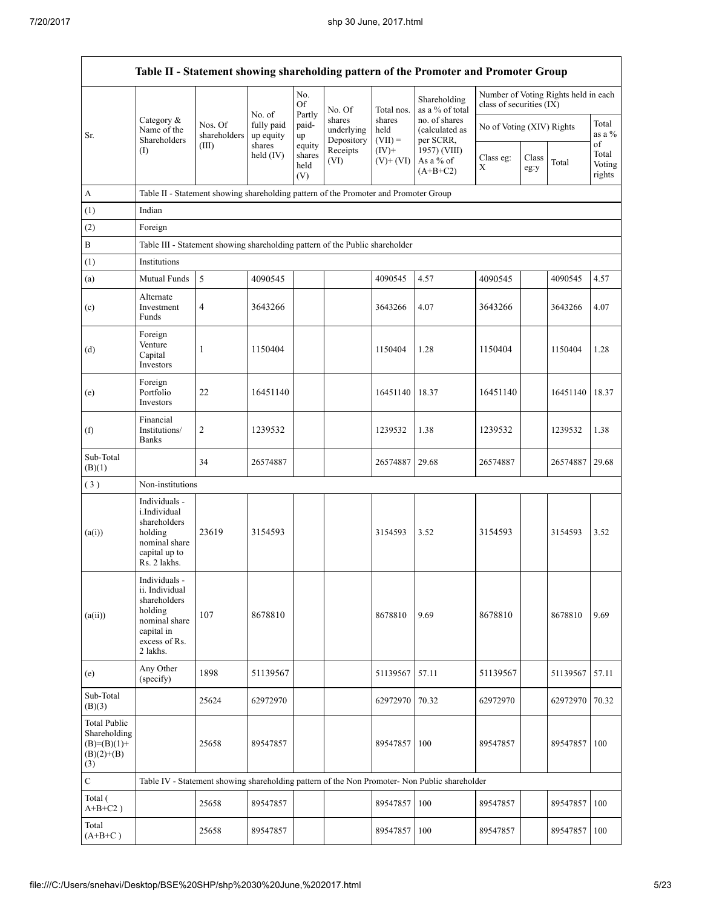|                                                                             |                                                                                                                        |                         |                                   |                                 |                                    |                             | Table II - Statement showing shareholding pattern of the Promoter and Promoter Group          |                           |               |                                      |                           |
|-----------------------------------------------------------------------------|------------------------------------------------------------------------------------------------------------------------|-------------------------|-----------------------------------|---------------------------------|------------------------------------|-----------------------------|-----------------------------------------------------------------------------------------------|---------------------------|---------------|--------------------------------------|---------------------------|
|                                                                             |                                                                                                                        |                         | No.<br><b>Of</b>                  |                                 | No. Of                             | Total nos.                  | Shareholding<br>as a % of total                                                               | class of securities (IX)  |               | Number of Voting Rights held in each |                           |
| Sr.                                                                         | Category &<br>Name of the<br>Shareholders                                                                              | Nos. Of<br>shareholders | No. of<br>fully paid<br>up equity | Partly<br>paid-<br>up           | shares<br>underlying<br>Depository | shares<br>held<br>$(VII) =$ | no. of shares<br>(calculated as<br>per SCRR,                                                  | No of Voting (XIV) Rights |               |                                      | Total<br>as a %<br>of     |
|                                                                             | (1)                                                                                                                    | (III)                   | shares<br>held $(IV)$             | equity<br>shares<br>held<br>(V) | Receipts<br>(VI)                   | $(IV)$ +<br>$(V)+(VI)$      | 1957) (VIII)<br>As a % of<br>$(A+B+C2)$                                                       | Class eg:<br>X            | Class<br>eg:y | Total                                | Total<br>Voting<br>rights |
| A                                                                           | Table II - Statement showing shareholding pattern of the Promoter and Promoter Group                                   |                         |                                   |                                 |                                    |                             |                                                                                               |                           |               |                                      |                           |
| (1)                                                                         | Indian                                                                                                                 |                         |                                   |                                 |                                    |                             |                                                                                               |                           |               |                                      |                           |
| (2)                                                                         | Foreign                                                                                                                |                         |                                   |                                 |                                    |                             |                                                                                               |                           |               |                                      |                           |
| B                                                                           | Table III - Statement showing shareholding pattern of the Public shareholder                                           |                         |                                   |                                 |                                    |                             |                                                                                               |                           |               |                                      |                           |
| (1)                                                                         | Institutions                                                                                                           |                         |                                   |                                 |                                    |                             |                                                                                               |                           |               |                                      |                           |
| (a)                                                                         | Mutual Funds                                                                                                           | $5\overline{5}$         | 4090545                           |                                 |                                    | 4090545                     | 4.57                                                                                          | 4090545                   |               | 4090545                              | 4.57                      |
| (c)                                                                         | Alternate<br>Investment<br>Funds                                                                                       | $\overline{4}$          | 3643266                           |                                 |                                    | 3643266                     | 4.07                                                                                          | 3643266                   |               | 3643266                              | 4.07                      |
| (d)                                                                         | Foreign<br>Venture<br>Capital<br>Investors                                                                             | $\mathbf{1}$            | 1150404                           |                                 |                                    | 1150404                     | 1.28                                                                                          | 1150404                   |               | 1150404                              | 1.28                      |
| (e)                                                                         | Foreign<br>Portfolio<br>Investors                                                                                      | 22                      | 16451140                          |                                 |                                    | 16451140                    | 18.37                                                                                         | 16451140                  |               | 16451140                             | 18.37                     |
| (f)                                                                         | Financial<br>Institutions/<br><b>Banks</b>                                                                             | $\overline{2}$          | 1239532                           |                                 |                                    | 1239532                     | 1.38                                                                                          | 1239532                   |               | 1239532                              | 1.38                      |
| Sub-Total<br>(B)(1)                                                         |                                                                                                                        | 34                      | 26574887                          |                                 |                                    | 26574887                    | 29.68                                                                                         | 26574887                  |               | 26574887                             | 29.68                     |
| (3)                                                                         | Non-institutions                                                                                                       |                         |                                   |                                 |                                    |                             |                                                                                               |                           |               |                                      |                           |
| (a(i))                                                                      | Individuals -<br>i.Individual<br>shareholders<br>holding<br>nominal share<br>capital up to<br>Rs. 2 lakhs.             | 23619                   | 3154593                           |                                 |                                    | 3154593                     | 3.52                                                                                          | 3154593                   |               | 3154593                              | 3.52                      |
| (a(ii))                                                                     | Individuals -<br>ii. Individual<br>shareholders<br>holding<br>nominal share<br>capital in<br>excess of Rs.<br>2 lakhs. | 107                     | 8678810                           |                                 |                                    | 8678810                     | 9.69                                                                                          | 8678810                   |               | 8678810                              | 9.69                      |
| (e)                                                                         | Any Other<br>(specify)                                                                                                 | 1898                    | 51139567                          |                                 |                                    | 51139567                    | 57.11                                                                                         | 51139567                  |               | 51139567                             | 57.11                     |
| Sub-Total<br>(B)(3)                                                         |                                                                                                                        | 25624                   | 62972970                          |                                 |                                    | 62972970                    | 70.32                                                                                         | 62972970                  |               | 62972970                             | 70.32                     |
| <b>Total Public</b><br>Shareholding<br>$(B)=(B)(1)+$<br>$(B)(2)+(B)$<br>(3) |                                                                                                                        | 25658                   | 89547857                          |                                 |                                    | 89547857                    | 100                                                                                           | 89547857                  |               | 89547857                             | 100                       |
| $\mathbf C$                                                                 |                                                                                                                        |                         |                                   |                                 |                                    |                             | Table IV - Statement showing shareholding pattern of the Non Promoter- Non Public shareholder |                           |               |                                      |                           |
| Total (<br>$A+B+C2$ )                                                       |                                                                                                                        | 25658                   | 89547857                          |                                 |                                    | 89547857                    | 100                                                                                           | 89547857                  |               | 89547857                             | 100                       |
| Total<br>$(A+B+C)$                                                          |                                                                                                                        | 25658                   | 89547857                          |                                 |                                    | 89547857                    | 100                                                                                           | 89547857                  |               | 89547857                             | 100                       |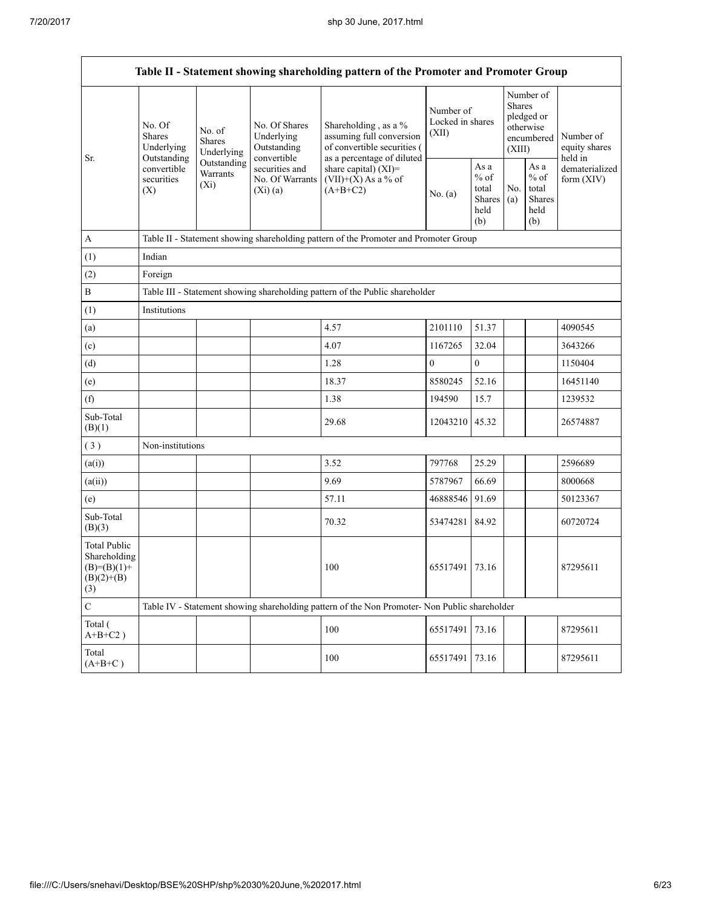| Table II - Statement showing shareholding pattern of the Promoter and Promoter Group |                                                 |                                       |                                                             |                                                                                               |                                        |                                                         |                                                                        |                                                  |                                       |
|--------------------------------------------------------------------------------------|-------------------------------------------------|---------------------------------------|-------------------------------------------------------------|-----------------------------------------------------------------------------------------------|----------------------------------------|---------------------------------------------------------|------------------------------------------------------------------------|--------------------------------------------------|---------------------------------------|
| Sr.                                                                                  | No. Of<br><b>Shares</b><br>Underlying           | No. of<br><b>Shares</b><br>Underlying | No. Of Shares<br>Underlying<br>Outstanding                  | Shareholding, as a %<br>assuming full conversion<br>of convertible securities (               | Number of<br>Locked in shares<br>(XII) |                                                         | Number of<br>Shares<br>pledged or<br>otherwise<br>encumbered<br>(XIII) |                                                  | Number of<br>equity shares<br>held in |
|                                                                                      | Outstanding<br>convertible<br>securities<br>(X) | Outstanding<br>Warrants<br>$(X_i)$    | convertible<br>securities and<br>No. Of Warrants<br>(Xi)(a) | as a percentage of diluted<br>share capital) $(XI)$ =<br>$(VII)+(X)$ As a % of<br>$(A+B+C2)$  | No. (a)                                | As a<br>$%$ of<br>total<br><b>Shares</b><br>held<br>(b) | No.<br>(a)                                                             | As a<br>$%$ of<br>total<br>Shares<br>held<br>(b) | dematerialized<br>form (XIV)          |
| A                                                                                    |                                                 |                                       |                                                             | Table II - Statement showing shareholding pattern of the Promoter and Promoter Group          |                                        |                                                         |                                                                        |                                                  |                                       |
| (1)                                                                                  | Indian                                          |                                       |                                                             |                                                                                               |                                        |                                                         |                                                                        |                                                  |                                       |
| (2)                                                                                  | Foreign                                         |                                       |                                                             |                                                                                               |                                        |                                                         |                                                                        |                                                  |                                       |
| $\bf{B}$                                                                             |                                                 |                                       |                                                             | Table III - Statement showing shareholding pattern of the Public shareholder                  |                                        |                                                         |                                                                        |                                                  |                                       |
| (1)                                                                                  | Institutions                                    |                                       |                                                             |                                                                                               |                                        |                                                         |                                                                        |                                                  |                                       |
| (a)                                                                                  |                                                 |                                       |                                                             | 4.57                                                                                          | 2101110                                | 51.37                                                   |                                                                        |                                                  | 4090545                               |
| (c)                                                                                  |                                                 |                                       |                                                             | 4.07                                                                                          | 1167265                                | 32.04                                                   |                                                                        |                                                  | 3643266                               |
| (d)                                                                                  |                                                 |                                       |                                                             | 1.28                                                                                          | $\boldsymbol{0}$                       | $\boldsymbol{0}$                                        |                                                                        |                                                  | 1150404                               |
| (e)                                                                                  |                                                 |                                       |                                                             | 18.37                                                                                         | 8580245                                | 52.16                                                   |                                                                        |                                                  | 16451140                              |
| (f)                                                                                  |                                                 |                                       |                                                             | 1.38                                                                                          | 194590                                 | 15.7                                                    |                                                                        |                                                  | 1239532                               |
| Sub-Total<br>(B)(1)                                                                  |                                                 |                                       |                                                             | 29.68                                                                                         | 12043210 45.32                         |                                                         |                                                                        |                                                  | 26574887                              |
| (3)                                                                                  | Non-institutions                                |                                       |                                                             |                                                                                               |                                        |                                                         |                                                                        |                                                  |                                       |
| (a(i))                                                                               |                                                 |                                       |                                                             | 3.52                                                                                          | 797768                                 | 25.29                                                   |                                                                        |                                                  | 2596689                               |
| (a(ii))                                                                              |                                                 |                                       |                                                             | 9.69                                                                                          | 5787967                                | 66.69                                                   |                                                                        |                                                  | 8000668                               |
| (e)                                                                                  |                                                 |                                       |                                                             | 57.11                                                                                         | 46888546                               | 91.69                                                   |                                                                        |                                                  | 50123367                              |
| Sub-Total<br>(B)(3)                                                                  |                                                 |                                       |                                                             | 70.32                                                                                         | 53474281                               | 84.92                                                   |                                                                        |                                                  | 60720724                              |
| <b>Total Public</b><br>Shareholding<br>$(B)=(B)(1)+$<br>$(B)(2)+(B)$<br>(3)          |                                                 |                                       |                                                             | 100                                                                                           | 65517491                               | 73.16                                                   |                                                                        |                                                  | 87295611                              |
| $\mathbf C$                                                                          |                                                 |                                       |                                                             | Table IV - Statement showing shareholding pattern of the Non Promoter- Non Public shareholder |                                        |                                                         |                                                                        |                                                  |                                       |
| Total (<br>$A+B+C2$ )                                                                |                                                 |                                       |                                                             | 100                                                                                           | 65517491                               | 73.16                                                   |                                                                        |                                                  | 87295611                              |
| Total<br>$(A+B+C)$                                                                   |                                                 |                                       |                                                             | 100                                                                                           | 65517491                               | 73.16                                                   |                                                                        |                                                  | 87295611                              |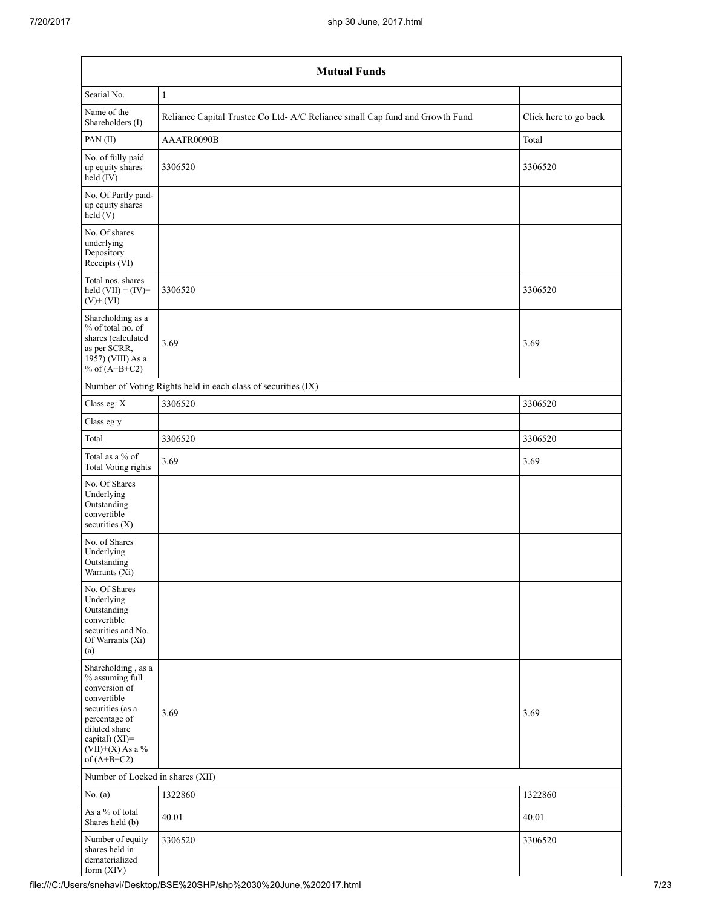| <b>Mutual Funds</b>                                                                                                                                                                  |                                                                              |                       |  |  |  |  |
|--------------------------------------------------------------------------------------------------------------------------------------------------------------------------------------|------------------------------------------------------------------------------|-----------------------|--|--|--|--|
| Searial No.                                                                                                                                                                          | $\mathbf{1}$                                                                 |                       |  |  |  |  |
| Name of the<br>Shareholders (I)                                                                                                                                                      | Reliance Capital Trustee Co Ltd- A/C Reliance small Cap fund and Growth Fund | Click here to go back |  |  |  |  |
| PAN (II)                                                                                                                                                                             | AAATR0090B                                                                   | Total                 |  |  |  |  |
| No. of fully paid<br>up equity shares<br>$\text{held}(\text{IV})$                                                                                                                    | 3306520                                                                      | 3306520               |  |  |  |  |
| No. Of Partly paid-<br>up equity shares<br>held(V)                                                                                                                                   |                                                                              |                       |  |  |  |  |
| No. Of shares<br>underlying<br>Depository<br>Receipts (VI)                                                                                                                           |                                                                              |                       |  |  |  |  |
| Total nos. shares<br>held $(VII) = (IV) +$<br>$(V)$ + $(VI)$                                                                                                                         | 3306520                                                                      | 3306520               |  |  |  |  |
| Shareholding as a<br>% of total no. of<br>shares (calculated<br>as per SCRR,<br>1957) (VIII) As a<br>% of $(A+B+C2)$                                                                 | 3.69                                                                         | 3.69                  |  |  |  |  |
|                                                                                                                                                                                      | Number of Voting Rights held in each class of securities (IX)                |                       |  |  |  |  |
| Class eg: X                                                                                                                                                                          | 3306520                                                                      | 3306520               |  |  |  |  |
| Class eg:y                                                                                                                                                                           |                                                                              |                       |  |  |  |  |
| Total                                                                                                                                                                                | 3306520                                                                      | 3306520               |  |  |  |  |
| Total as a % of<br>Total Voting rights                                                                                                                                               | 3.69                                                                         | 3.69                  |  |  |  |  |
| No. Of Shares<br>Underlying<br>Outstanding<br>convertible<br>securities $(X)$                                                                                                        |                                                                              |                       |  |  |  |  |
| No. of Shares<br>Underlying<br>Outstanding<br>Warrants $(X_1)$                                                                                                                       |                                                                              |                       |  |  |  |  |
| No. Of Shares<br>Underlying<br>Outstanding<br>convertible<br>securities and No.<br>Of Warrants (Xi)<br>(a)                                                                           |                                                                              |                       |  |  |  |  |
| Shareholding, as a<br>% assuming full<br>conversion of<br>convertible<br>securities (as a<br>percentage of<br>diluted share<br>capital) (XI)=<br>$(VII)+(X)$ As a %<br>of $(A+B+C2)$ | 3.69                                                                         | 3.69                  |  |  |  |  |
| Number of Locked in shares (XII)                                                                                                                                                     |                                                                              |                       |  |  |  |  |
| No. (a)                                                                                                                                                                              | 1322860                                                                      | 1322860               |  |  |  |  |
| As a % of total<br>Shares held (b)                                                                                                                                                   | 40.01                                                                        | 40.01                 |  |  |  |  |
| Number of equity<br>shares held in<br>dematerialized<br>form (XIV)                                                                                                                   | 3306520                                                                      | 3306520               |  |  |  |  |

file:///C:/Users/snehavi/Desktop/BSE%20SHP/shp%2030%20June,%202017.html 7/23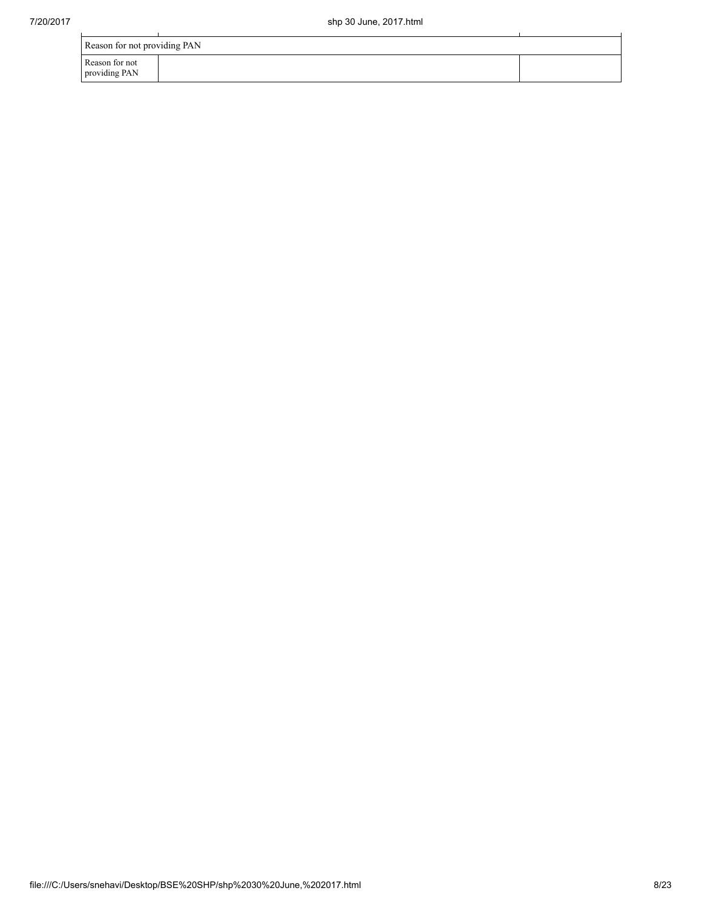$\overline{a}$ 

| Reason for not providing PAN    |  |  |  |  |  |  |
|---------------------------------|--|--|--|--|--|--|
| Reason for not<br>providing PAN |  |  |  |  |  |  |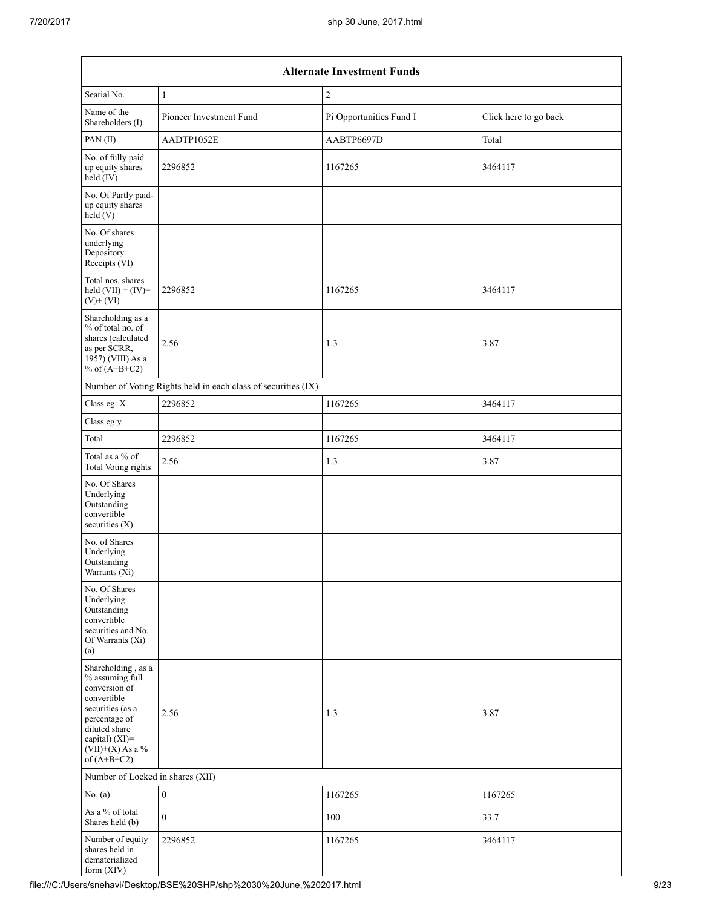| <b>Alternate Investment Funds</b>                                                                                                                                                    |                                                               |                         |                       |  |  |  |
|--------------------------------------------------------------------------------------------------------------------------------------------------------------------------------------|---------------------------------------------------------------|-------------------------|-----------------------|--|--|--|
| $\overline{2}$<br>Searial No.<br>$\mathbf{1}$                                                                                                                                        |                                                               |                         |                       |  |  |  |
| Name of the<br>Shareholders (I)                                                                                                                                                      | Pioneer Investment Fund                                       | Pi Opportunities Fund I | Click here to go back |  |  |  |
| PAN(II)                                                                                                                                                                              | AADTP1052E                                                    | AABTP6697D              | Total                 |  |  |  |
| No. of fully paid<br>up equity shares<br>held (IV)                                                                                                                                   | 2296852                                                       | 1167265                 | 3464117               |  |  |  |
| No. Of Partly paid-<br>up equity shares<br>held(V)                                                                                                                                   |                                                               |                         |                       |  |  |  |
| No. Of shares<br>underlying<br>Depository<br>Receipts (VI)                                                                                                                           |                                                               |                         |                       |  |  |  |
| Total nos. shares<br>held $(VII) = (IV) +$<br>$(V)$ + $(VI)$                                                                                                                         | 2296852                                                       | 1167265                 | 3464117               |  |  |  |
| Shareholding as a<br>% of total no. of<br>shares (calculated<br>as per SCRR,<br>1957) (VIII) As a<br>% of $(A+B+C2)$                                                                 | 2.56                                                          | 1.3                     | 3.87                  |  |  |  |
|                                                                                                                                                                                      | Number of Voting Rights held in each class of securities (IX) |                         |                       |  |  |  |
| Class eg: X                                                                                                                                                                          | 2296852                                                       | 1167265                 | 3464117               |  |  |  |
| Class eg:y                                                                                                                                                                           |                                                               |                         |                       |  |  |  |
| Total                                                                                                                                                                                | 2296852                                                       | 1167265                 | 3464117               |  |  |  |
| Total as a % of<br><b>Total Voting rights</b>                                                                                                                                        | 2.56                                                          | 1.3                     | 3.87                  |  |  |  |
| No. Of Shares<br>Underlying<br>Outstanding<br>convertible<br>securities $(X)$                                                                                                        |                                                               |                         |                       |  |  |  |
| No. of Shares<br>Underlying<br>Outstanding<br>Warrants (Xi)                                                                                                                          |                                                               |                         |                       |  |  |  |
| No. Of Shares<br>Underlying<br>Outstanding<br>convertible<br>securities and No.<br>Of Warrants (Xi)<br>(a)                                                                           |                                                               |                         |                       |  |  |  |
| Shareholding, as a<br>% assuming full<br>conversion of<br>convertible<br>securities (as a<br>percentage of<br>diluted share<br>capital) (XI)=<br>$(VII)+(X)$ As a %<br>of $(A+B+C2)$ | 2.56                                                          | 1.3                     | 3.87                  |  |  |  |
| Number of Locked in shares (XII)                                                                                                                                                     |                                                               |                         |                       |  |  |  |
| No. $(a)$                                                                                                                                                                            | $\boldsymbol{0}$                                              | 1167265                 | 1167265               |  |  |  |
| As a % of total<br>Shares held (b)                                                                                                                                                   | $\mathbf{0}$                                                  | 100                     | 33.7                  |  |  |  |
| Number of equity<br>shares held in<br>dematerialized<br>form (XIV)                                                                                                                   | 2296852                                                       | 1167265                 | 3464117               |  |  |  |

file:///C:/Users/snehavi/Desktop/BSE%20SHP/shp%2030%20June,%202017.html 9/23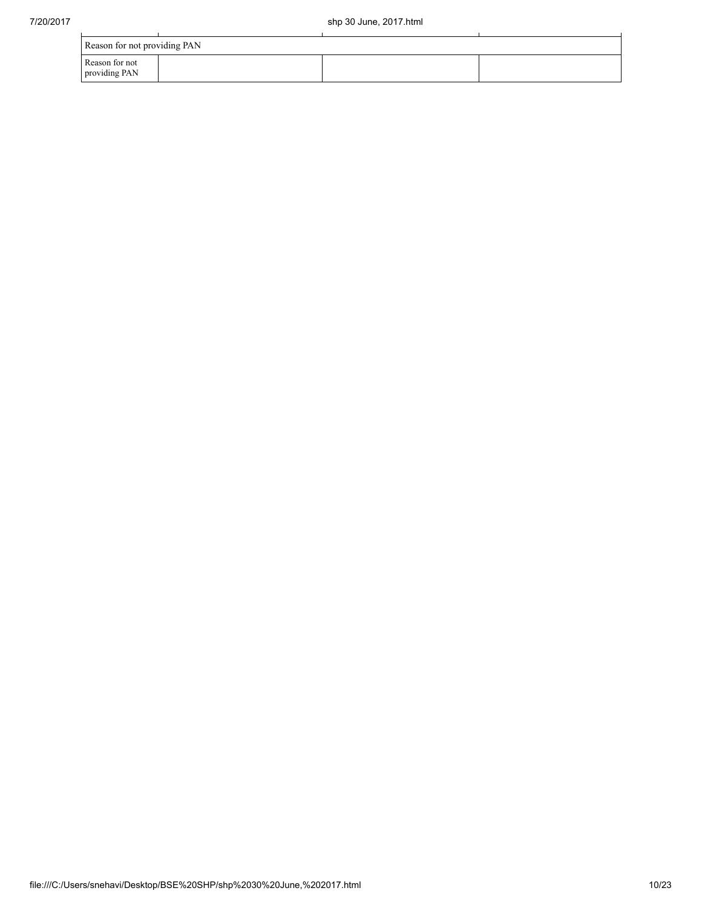| Reason for not providing PAN    |  |  |  |  |  |  |
|---------------------------------|--|--|--|--|--|--|
| Reason for not<br>providing PAN |  |  |  |  |  |  |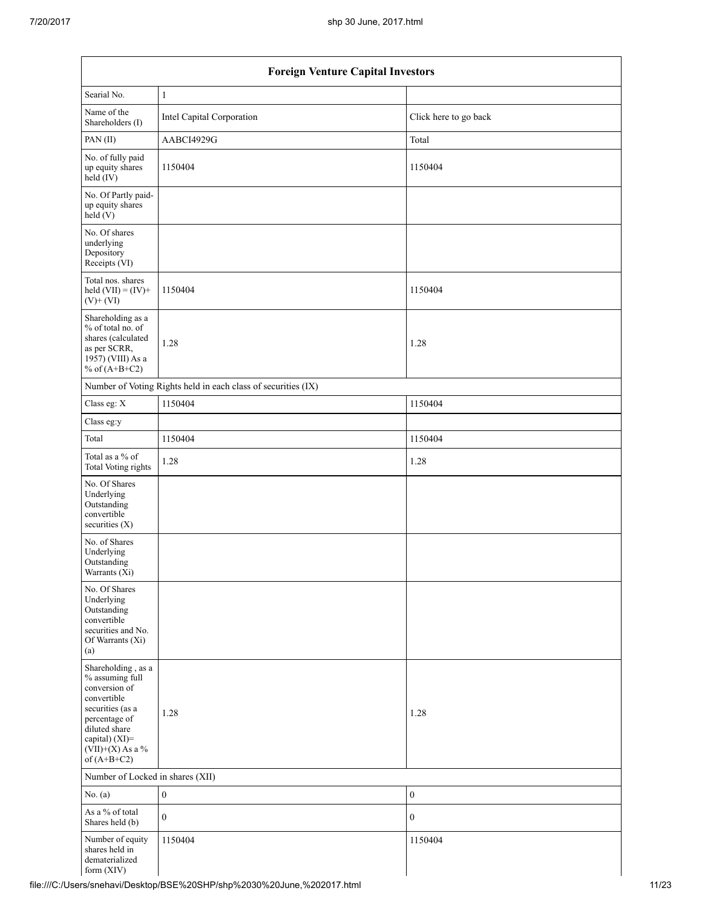| <b>Foreign Venture Capital Investors</b>                                                                                                                                             |                                                               |                       |  |  |  |  |
|--------------------------------------------------------------------------------------------------------------------------------------------------------------------------------------|---------------------------------------------------------------|-----------------------|--|--|--|--|
| Searial No.                                                                                                                                                                          | $\mathbf{1}$                                                  |                       |  |  |  |  |
| Name of the<br>Shareholders (I)                                                                                                                                                      | Intel Capital Corporation                                     | Click here to go back |  |  |  |  |
| PAN(II)                                                                                                                                                                              | AABCI4929G                                                    | Total                 |  |  |  |  |
| No. of fully paid<br>up equity shares<br>$held$ (IV)                                                                                                                                 | 1150404                                                       | 1150404               |  |  |  |  |
| No. Of Partly paid-<br>up equity shares<br>held $(V)$                                                                                                                                |                                                               |                       |  |  |  |  |
| No. Of shares<br>underlying<br>Depository<br>Receipts (VI)                                                                                                                           |                                                               |                       |  |  |  |  |
| Total nos. shares<br>held $(VII) = (IV) +$<br>$(V)$ + $(VI)$                                                                                                                         | 1150404                                                       | 1150404               |  |  |  |  |
| Shareholding as a<br>% of total no. of<br>shares (calculated<br>as per SCRR,<br>1957) (VIII) As a<br>% of $(A+B+C2)$                                                                 | 1.28                                                          | 1.28                  |  |  |  |  |
|                                                                                                                                                                                      | Number of Voting Rights held in each class of securities (IX) |                       |  |  |  |  |
| Class eg: X                                                                                                                                                                          | 1150404                                                       | 1150404               |  |  |  |  |
| Class eg:y                                                                                                                                                                           |                                                               |                       |  |  |  |  |
| Total                                                                                                                                                                                | 1150404                                                       | 1150404               |  |  |  |  |
| Total as a % of<br>Total Voting rights                                                                                                                                               | 1.28                                                          | 1.28                  |  |  |  |  |
| No. Of Shares<br>Underlying<br>Outstanding<br>convertible<br>securities $(X)$                                                                                                        |                                                               |                       |  |  |  |  |
| No. of Shares<br>Underlying<br>Outstanding<br>Warrants (X1)                                                                                                                          |                                                               |                       |  |  |  |  |
| No. Of Shares<br>Underlying<br>Outstanding<br>convertible<br>securities and No.<br>Of Warrants (Xi)<br>(a)                                                                           |                                                               |                       |  |  |  |  |
| Shareholding, as a<br>% assuming full<br>conversion of<br>convertible<br>securities (as a<br>percentage of<br>diluted share<br>capital) (XI)=<br>$(VII)+(X)$ As a %<br>of $(A+B+C2)$ | 1.28                                                          | 1.28                  |  |  |  |  |
| Number of Locked in shares (XII)                                                                                                                                                     |                                                               |                       |  |  |  |  |
| No. $(a)$                                                                                                                                                                            | $\boldsymbol{0}$                                              | $\boldsymbol{0}$      |  |  |  |  |
| As a % of total<br>Shares held (b)                                                                                                                                                   | $\boldsymbol{0}$                                              | $\mathbf{0}$          |  |  |  |  |
| Number of equity<br>shares held in<br>dematerialized<br>form $(XIV)$                                                                                                                 | 1150404                                                       | 1150404               |  |  |  |  |

file:///C:/Users/snehavi/Desktop/BSE%20SHP/shp%2030%20June,%202017.html 11/23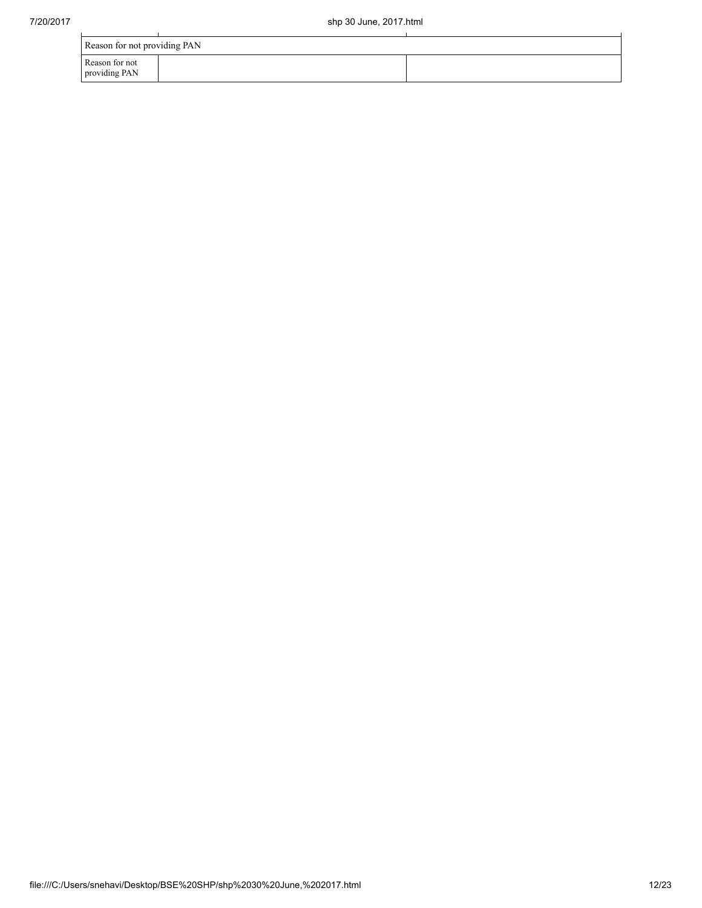$\overline{a}$ 

| Reason for not providing PAN    |  |  |  |  |  |
|---------------------------------|--|--|--|--|--|
| Reason for not<br>providing PAN |  |  |  |  |  |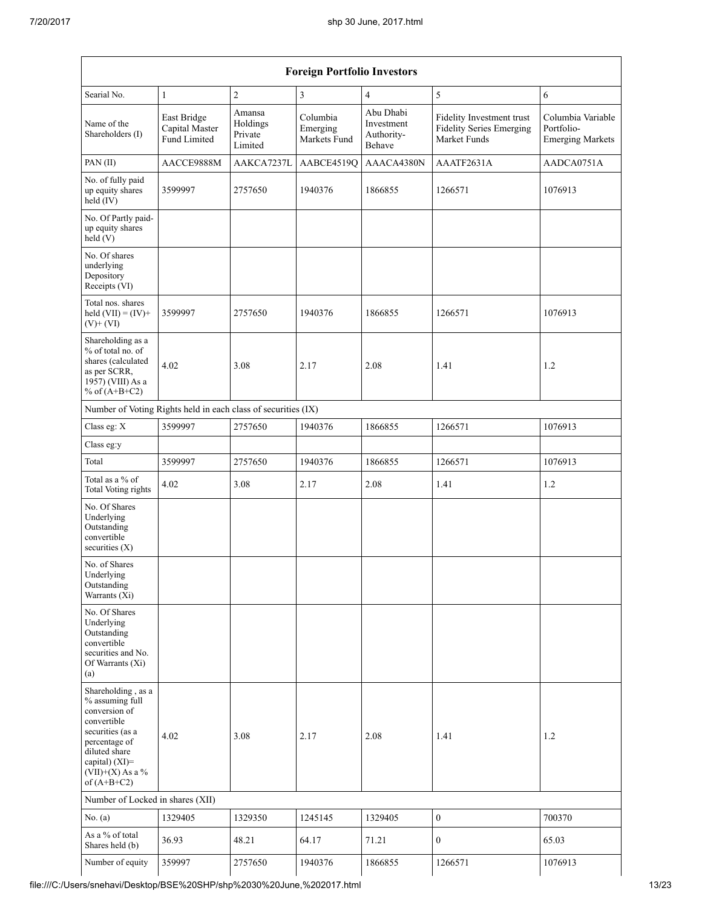| <b>Foreign Portfolio Investors</b>                                                                                                                                                   |                                               |                                          |                                      |                                                                                                                                 |                  |                                                            |
|--------------------------------------------------------------------------------------------------------------------------------------------------------------------------------------|-----------------------------------------------|------------------------------------------|--------------------------------------|---------------------------------------------------------------------------------------------------------------------------------|------------------|------------------------------------------------------------|
| Searial No.                                                                                                                                                                          | $\mathbf{1}$                                  | $\boldsymbol{2}$                         | $\overline{3}$                       | $\overline{4}$                                                                                                                  | 5                | 6                                                          |
| Name of the<br>Shareholders (I)                                                                                                                                                      | East Bridge<br>Capital Master<br>Fund Limited | Amansa<br>Holdings<br>Private<br>Limited | Columbia<br>Emerging<br>Markets Fund | Abu Dhabi<br>Fidelity Investment trust<br>Investment<br><b>Fidelity Series Emerging</b><br>Authority-<br>Market Funds<br>Behave |                  | Columbia Variable<br>Portfolio-<br><b>Emerging Markets</b> |
| PAN $(II)$                                                                                                                                                                           | AACCE9888M                                    | AAKCA7237L                               | AABCE4519Q                           | AAACA4380N                                                                                                                      | AAATF2631A       | AADCA0751A                                                 |
| No. of fully paid<br>up equity shares<br>held (IV)                                                                                                                                   | 3599997                                       | 2757650                                  | 1940376                              | 1866855                                                                                                                         | 1266571          | 1076913                                                    |
| No. Of Partly paid-<br>up equity shares<br>held(V)                                                                                                                                   |                                               |                                          |                                      |                                                                                                                                 |                  |                                                            |
| No. Of shares<br>underlying<br>Depository<br>Receipts (VI)                                                                                                                           |                                               |                                          |                                      |                                                                                                                                 |                  |                                                            |
| Total nos. shares<br>held $(VII) = (IV) +$<br>$(V)$ + $(VI)$                                                                                                                         | 3599997                                       | 2757650                                  | 1940376                              | 1866855                                                                                                                         | 1266571          | 1076913                                                    |
| Shareholding as a<br>% of total no. of<br>shares (calculated<br>as per SCRR.<br>1957) (VIII) As a<br>% of $(A+B+C2)$                                                                 | 4.02                                          | 3.08                                     | 2.17                                 | 2.08                                                                                                                            | 1.41             | 1.2                                                        |
| Number of Voting Rights held in each class of securities (IX)                                                                                                                        |                                               |                                          |                                      |                                                                                                                                 |                  |                                                            |
| Class eg: X                                                                                                                                                                          | 3599997                                       | 2757650                                  | 1940376                              | 1866855                                                                                                                         | 1266571          | 1076913                                                    |
| Class eg:y                                                                                                                                                                           |                                               |                                          |                                      |                                                                                                                                 |                  |                                                            |
| Total                                                                                                                                                                                | 3599997                                       | 2757650                                  | 1940376                              | 1866855                                                                                                                         | 1266571          | 1076913                                                    |
| Total as a % of<br>Total Voting rights                                                                                                                                               | 4.02                                          | 3.08                                     | 2.17                                 | 2.08                                                                                                                            | 1.41             | 1.2                                                        |
| No. Of Shares<br>Underlying<br>Outstanding<br>convertible<br>securities $(X)$                                                                                                        |                                               |                                          |                                      |                                                                                                                                 |                  |                                                            |
| No. of Shares<br>Underlying<br>Outstanding<br>Warrants (Xi)                                                                                                                          |                                               |                                          |                                      |                                                                                                                                 |                  |                                                            |
| No. Of Shares<br>Underlying<br>Outstanding<br>convertible<br>securities and No.<br>Of Warrants (Xi)<br>(a)                                                                           |                                               |                                          |                                      |                                                                                                                                 |                  |                                                            |
| Shareholding, as a<br>% assuming full<br>conversion of<br>convertible<br>securities (as a<br>percentage of<br>diluted share<br>capital) (XI)=<br>$(VII)+(X)$ As a %<br>of $(A+B+C2)$ | 4.02                                          | 3.08                                     | 2.17                                 | 2.08                                                                                                                            | 1.41             | 1.2                                                        |
| Number of Locked in shares (XII)                                                                                                                                                     |                                               |                                          |                                      |                                                                                                                                 |                  |                                                            |
| No. (a)                                                                                                                                                                              | 1329405                                       | 1329350                                  | 1245145                              | 1329405                                                                                                                         | $\boldsymbol{0}$ | 700370                                                     |
| As a % of total<br>Shares held (b)                                                                                                                                                   | 36.93                                         | 48.21                                    | 64.17                                | 71.21                                                                                                                           | $\boldsymbol{0}$ | 65.03                                                      |
| Number of equity                                                                                                                                                                     | 359997                                        | 2757650                                  | 1940376                              | 1866855                                                                                                                         | 1266571          | 1076913                                                    |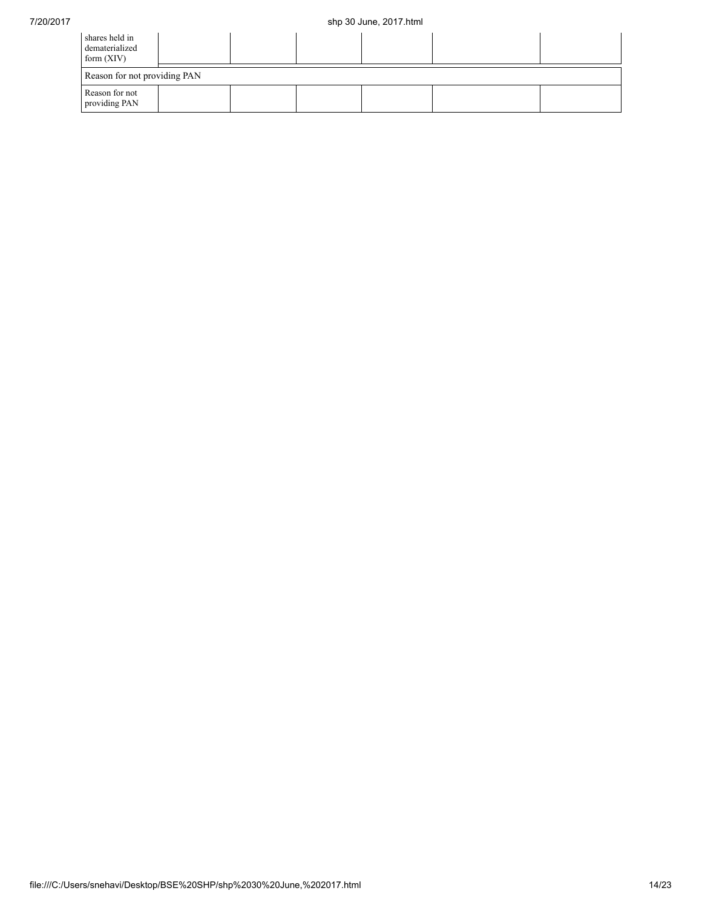| shares held in<br>dematerialized<br>form $(XIV)$ |  |  |  |
|--------------------------------------------------|--|--|--|
| Reason for not providing PAN                     |  |  |  |
| Reason for not<br>providing PAN                  |  |  |  |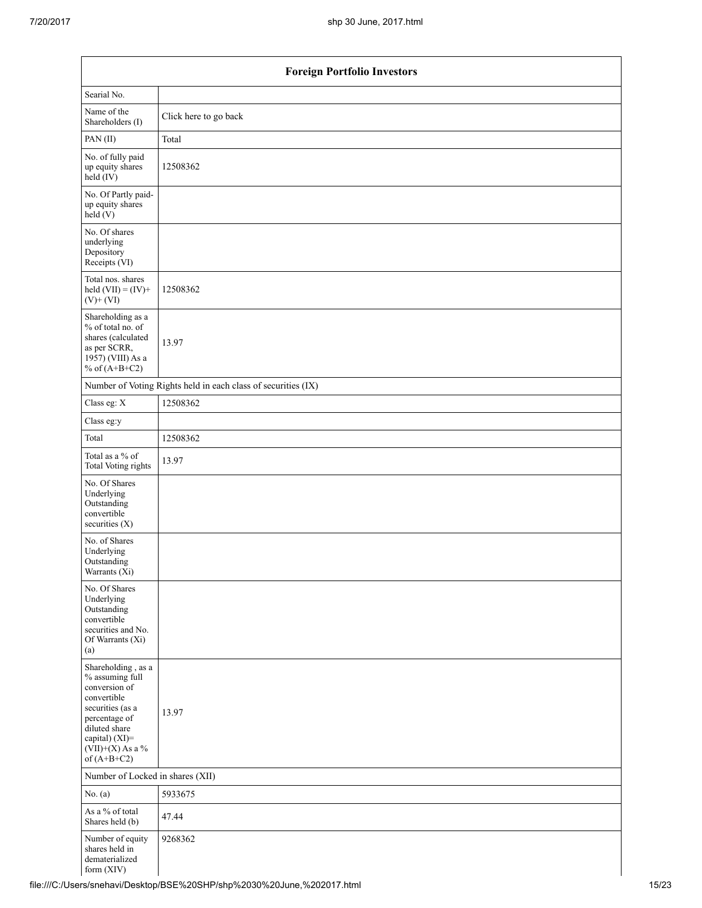| <b>Foreign Portfolio Investors</b>                                                                                                                                                   |                                                               |  |  |  |  |  |
|--------------------------------------------------------------------------------------------------------------------------------------------------------------------------------------|---------------------------------------------------------------|--|--|--|--|--|
| Searial No.                                                                                                                                                                          |                                                               |  |  |  |  |  |
| Name of the<br>Shareholders (I)                                                                                                                                                      | Click here to go back                                         |  |  |  |  |  |
| PAN(II)                                                                                                                                                                              | Total                                                         |  |  |  |  |  |
| No. of fully paid<br>up equity shares<br>$held$ (IV)                                                                                                                                 | 12508362                                                      |  |  |  |  |  |
| No. Of Partly paid-<br>up equity shares<br>held(V)                                                                                                                                   |                                                               |  |  |  |  |  |
| No. Of shares<br>underlying<br>Depository<br>Receipts (VI)                                                                                                                           |                                                               |  |  |  |  |  |
| Total nos. shares<br>held $(VII) = (IV) +$<br>$(V)$ + $(VI)$                                                                                                                         | 12508362                                                      |  |  |  |  |  |
| Shareholding as a<br>% of total no. of<br>shares (calculated<br>as per SCRR,<br>1957) (VIII) As a<br>% of $(A+B+C2)$                                                                 | 13.97                                                         |  |  |  |  |  |
|                                                                                                                                                                                      | Number of Voting Rights held in each class of securities (IX) |  |  |  |  |  |
| Class eg: X                                                                                                                                                                          | 12508362                                                      |  |  |  |  |  |
| Class eg:y                                                                                                                                                                           |                                                               |  |  |  |  |  |
| Total                                                                                                                                                                                | 12508362                                                      |  |  |  |  |  |
| Total as a % of<br>Total Voting rights                                                                                                                                               | 13.97                                                         |  |  |  |  |  |
| No. Of Shares<br>Underlying<br>Outstanding<br>convertible<br>securities $(X)$                                                                                                        |                                                               |  |  |  |  |  |
| No. of Shares<br>Underlying<br>Outstanding<br>Warrants (Xi)                                                                                                                          |                                                               |  |  |  |  |  |
| No. Of Shares<br>Underlying<br>Outstanding<br>convertible<br>securities and No.<br>Of Warrants (Xi)<br>(a)                                                                           |                                                               |  |  |  |  |  |
| Shareholding, as a<br>% assuming full<br>conversion of<br>convertible<br>securities (as a<br>percentage of<br>diluted share<br>capital) (XI)=<br>$(VII)+(X)$ As a %<br>of $(A+B+C2)$ | 13.97                                                         |  |  |  |  |  |
| Number of Locked in shares (XII)                                                                                                                                                     |                                                               |  |  |  |  |  |
| No. (a)                                                                                                                                                                              | 5933675                                                       |  |  |  |  |  |
| As a % of total<br>Shares held (b)                                                                                                                                                   | 47.44                                                         |  |  |  |  |  |
| Number of equity<br>shares held in<br>dematerialized<br>form (XIV)                                                                                                                   | 9268362                                                       |  |  |  |  |  |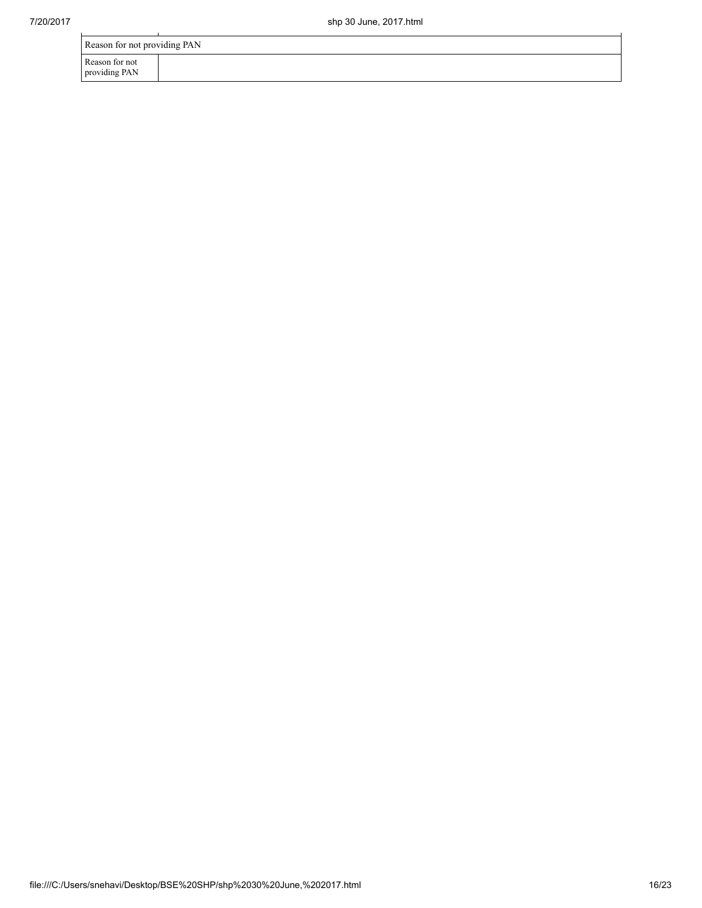| Reason for not providing PAN    |  |  |  |  |  |
|---------------------------------|--|--|--|--|--|
| Reason for not<br>providing PAN |  |  |  |  |  |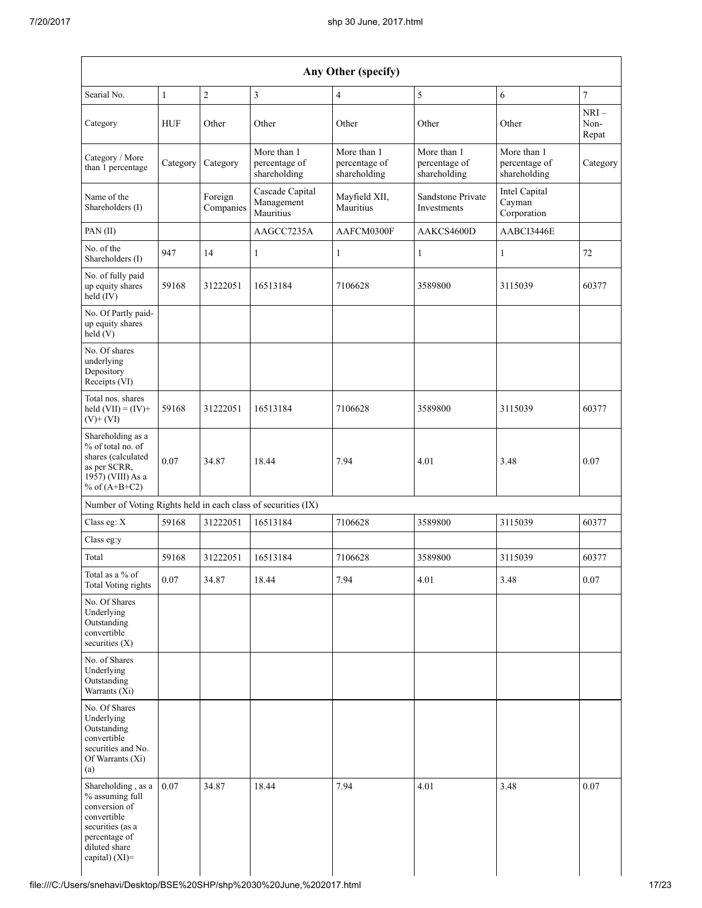|                                                                                                                                               |              |                      |                                              | Any Other (specify)                          |                                                                                              |                                        |                         |
|-----------------------------------------------------------------------------------------------------------------------------------------------|--------------|----------------------|----------------------------------------------|----------------------------------------------|----------------------------------------------------------------------------------------------|----------------------------------------|-------------------------|
| Searial No.                                                                                                                                   | $\mathbf{1}$ | $\overline{c}$       | $\overline{\mathbf{3}}$                      | $\overline{4}$                               | 5                                                                                            | 6                                      | $\tau$                  |
| Category                                                                                                                                      | <b>HUF</b>   | Other                | Other                                        | Other                                        | Other                                                                                        | Other                                  | $NRI-$<br>Non-<br>Repat |
| Category / More<br>than 1 percentage                                                                                                          | Category     | Category             | More than 1<br>percentage of<br>shareholding | More than 1<br>percentage of<br>shareholding | More than 1<br>More than 1<br>percentage of<br>percentage of<br>shareholding<br>shareholding |                                        | Category                |
| Name of the<br>Shareholders (I)                                                                                                               |              | Foreign<br>Companies | Cascade Capital<br>Management<br>Mauritius   | Mayfield XII,<br>Mauritius                   | Sandstone Private<br>Investments                                                             | Intel Capital<br>Cayman<br>Corporation |                         |
| PAN (II)                                                                                                                                      |              |                      | AAGCC7235A                                   | AAFCM0300F                                   | AAKCS4600D                                                                                   | AABCI3446E                             |                         |
| No. of the<br>Shareholders (I)                                                                                                                | 947          | 14                   | 1                                            | 1                                            | 1                                                                                            | 1                                      | 72                      |
| No. of fully paid<br>up equity shares<br>held (IV)                                                                                            | 59168        | 31222051             | 16513184                                     | 7106628                                      | 3589800                                                                                      | 3115039                                | 60377                   |
| No. Of Partly paid-<br>up equity shares<br>held (V)                                                                                           |              |                      |                                              |                                              |                                                                                              |                                        |                         |
| No. Of shares<br>underlying<br>Depository<br>Receipts (VI)                                                                                    |              |                      |                                              |                                              |                                                                                              |                                        |                         |
| Total nos. shares<br>held $(VII) = (IV) +$<br>$(V)+(VI)$                                                                                      | 59168        | 31222051             | 16513184                                     | 7106628                                      | 3589800                                                                                      | 3115039                                | 60377                   |
| Shareholding as a<br>% of total no. of<br>shares (calculated<br>as per SCRR,<br>1957) (VIII) As a<br>% of $(A+B+C2)$                          | 0.07         | 34.87                | 18.44                                        | 7.94                                         | 4.01                                                                                         | 3.48                                   | 0.07                    |
| Number of Voting Rights held in each class of securities (IX)                                                                                 |              |                      |                                              |                                              |                                                                                              |                                        |                         |
| Class eg: X                                                                                                                                   | 59168        | 31222051             | 16513184                                     | 7106628                                      | 3589800                                                                                      | 3115039                                | 60377                   |
| Class eg:y                                                                                                                                    |              |                      |                                              |                                              |                                                                                              |                                        |                         |
| Total                                                                                                                                         | 59168        | 31222051             | 16513184                                     | 7106628                                      | 3589800                                                                                      | 3115039                                | 60377                   |
| Total as a % of<br>Total Voting rights                                                                                                        | 0.07         | 34.87                | 18.44                                        | 7.94                                         | 4.01                                                                                         | 3.48                                   | 0.07                    |
| No. Of Shares<br>Underlying<br>Outstanding<br>convertible<br>securities (X)                                                                   |              |                      |                                              |                                              |                                                                                              |                                        |                         |
| No. of Shares<br>Underlying<br>Outstanding<br>Warrants (Xi)                                                                                   |              |                      |                                              |                                              |                                                                                              |                                        |                         |
| No. Of Shares<br>Underlying<br>Outstanding<br>convertible<br>securities and No.<br>Of Warrants (Xi)<br>(a)                                    |              |                      |                                              |                                              |                                                                                              |                                        |                         |
| Shareholding, as a<br>% assuming full<br>conversion of<br>convertible<br>securities (as a<br>percentage of<br>diluted share<br>capital) (XI)= | 0.07         | 34.87                | 18.44                                        | 7.94                                         | 4.01                                                                                         | 3.48                                   | 0.07                    |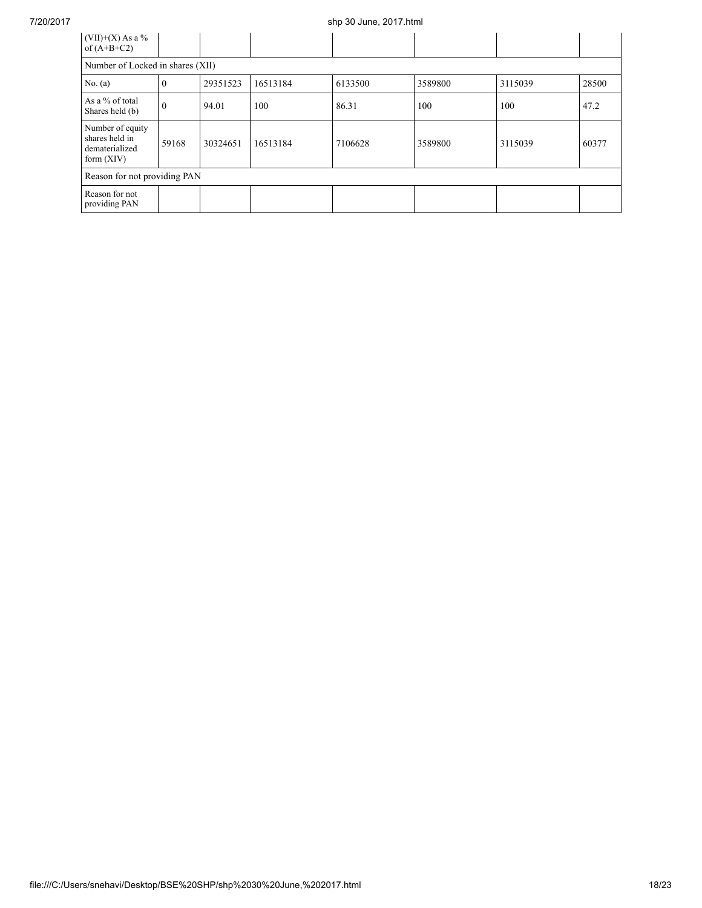## 7/20/2017 shp 30 June, 2017.html

| $(VII)+(X)$ As a %<br>of $(A+B+C2)$                                  |          |          |          |         |         |         |       |
|----------------------------------------------------------------------|----------|----------|----------|---------|---------|---------|-------|
| Number of Locked in shares (XII)                                     |          |          |          |         |         |         |       |
| No. (a)                                                              | $\Omega$ | 29351523 | 16513184 | 6133500 | 3589800 | 3115039 | 28500 |
| As a % of total<br>Shares held (b)                                   | $\theta$ | 94.01    | 100      | 86.31   | 100     | 100     | 47.2  |
| Number of equity<br>shares held in<br>dematerialized<br>form $(XIV)$ | 59168    | 30324651 | 16513184 | 7106628 | 3589800 | 3115039 | 60377 |
| Reason for not providing PAN                                         |          |          |          |         |         |         |       |
| Reason for not<br>providing PAN                                      |          |          |          |         |         |         |       |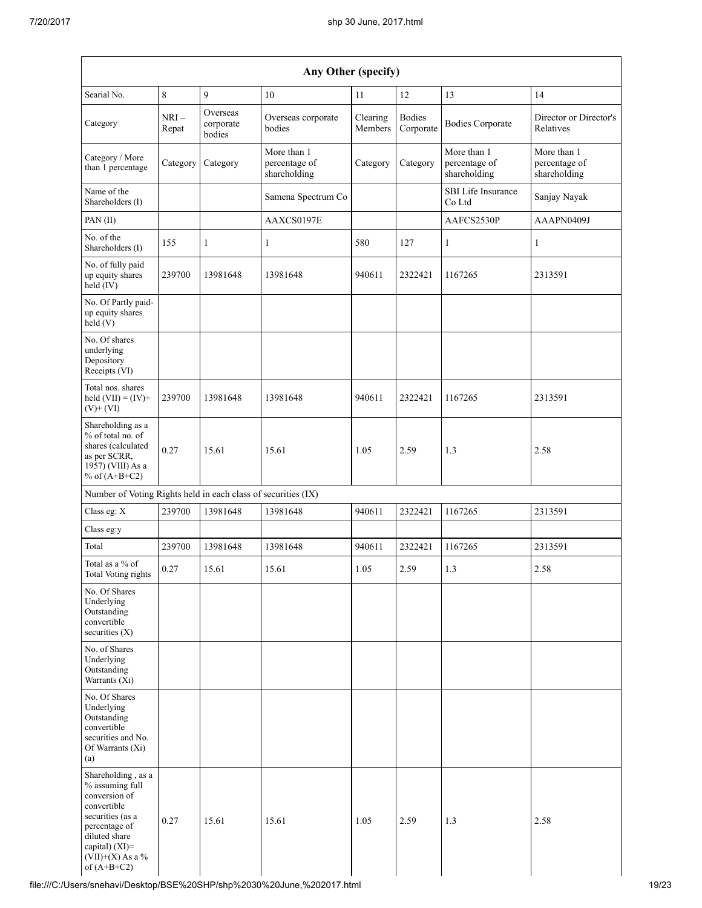|                                                                                                                                                                                      | Any Other (specify) |                                 |                                              |                     |                            |                                              |                                              |
|--------------------------------------------------------------------------------------------------------------------------------------------------------------------------------------|---------------------|---------------------------------|----------------------------------------------|---------------------|----------------------------|----------------------------------------------|----------------------------------------------|
| Searial No.                                                                                                                                                                          | 8                   | $\mathbf{q}$                    | 10                                           | 11                  | 12                         | 13                                           | 14                                           |
| Category                                                                                                                                                                             | $NRI-$<br>Repat     | Overseas<br>corporate<br>bodies | Overseas corporate<br>bodies                 | Clearing<br>Members | <b>Bodies</b><br>Corporate | <b>Bodies Corporate</b>                      | Director or Director's<br>Relatives          |
| Category / More<br>than 1 percentage                                                                                                                                                 | Category            | Category                        | More than 1<br>percentage of<br>shareholding | Category            | Category                   | More than 1<br>percentage of<br>shareholding | More than 1<br>percentage of<br>shareholding |
| Name of the<br>Shareholders (I)                                                                                                                                                      |                     |                                 | Samena Spectrum Co                           |                     |                            | <b>SBI</b> Life Insurance<br>Co Ltd          | Sanjay Nayak                                 |
| PAN(II)                                                                                                                                                                              |                     |                                 | AAXCS0197E                                   |                     |                            | AAFCS2530P                                   | AAAPN0409J                                   |
| No. of the<br>Shareholders (I)                                                                                                                                                       | 155                 | 1                               | $\mathbf{1}$                                 | 580                 | 127                        | 1                                            | 1                                            |
| No. of fully paid<br>up equity shares<br>held (IV)                                                                                                                                   | 239700              | 13981648                        | 13981648                                     | 940611              | 2322421                    | 1167265                                      | 2313591                                      |
| No. Of Partly paid-<br>up equity shares<br>held (V)                                                                                                                                  |                     |                                 |                                              |                     |                            |                                              |                                              |
| No. Of shares<br>underlying<br>Depository<br>Receipts (VI)                                                                                                                           |                     |                                 |                                              |                     |                            |                                              |                                              |
| Total nos. shares<br>held $(VII) = (IV) +$<br>$(V)$ + $(VI)$                                                                                                                         | 239700              | 13981648                        | 13981648                                     | 940611              | 2322421                    | 1167265                                      | 2313591                                      |
| Shareholding as a<br>% of total no. of<br>shares (calculated<br>as per SCRR,<br>1957) (VIII) As a<br>% of $(A+B+C2)$                                                                 | 0.27                | 15.61                           | 15.61                                        | 1.05                | 2.59                       | 1.3                                          | 2.58                                         |
| Number of Voting Rights held in each class of securities (IX)                                                                                                                        |                     |                                 |                                              |                     |                            |                                              |                                              |
| Class eg: X                                                                                                                                                                          | 239700              | 13981648                        | 13981648                                     | 940611              | 2322421                    | 1167265                                      | 2313591                                      |
| Class eg:y                                                                                                                                                                           |                     |                                 |                                              |                     |                            |                                              |                                              |
| Total                                                                                                                                                                                | 239700              | 13981648                        | 13981648                                     | 940611              | 2322421                    | 1167265                                      | 2313591                                      |
| Total as a % of<br>Total Voting rights                                                                                                                                               | 0.27                | 15.61                           | 15.61                                        | 1.05                | 2.59                       | 1.3                                          | 2.58                                         |
| No. Of Shares<br>Underlying<br>Outstanding<br>convertible<br>securities $(X)$                                                                                                        |                     |                                 |                                              |                     |                            |                                              |                                              |
| No. of Shares<br>Underlying<br>Outstanding<br>Warrants (Xi)                                                                                                                          |                     |                                 |                                              |                     |                            |                                              |                                              |
| No. Of Shares<br>Underlying<br>Outstanding<br>convertible<br>securities and No.<br>Of Warrants (Xi)<br>(a)                                                                           |                     |                                 |                                              |                     |                            |                                              |                                              |
| Shareholding, as a<br>% assuming full<br>conversion of<br>convertible<br>securities (as a<br>percentage of<br>diluted share<br>capital) (XI)=<br>$(VII)+(X)$ As a %<br>of $(A+B+C2)$ | 0.27                | 15.61                           | 15.61                                        | 1.05                | 2.59                       | 1.3                                          | 2.58                                         |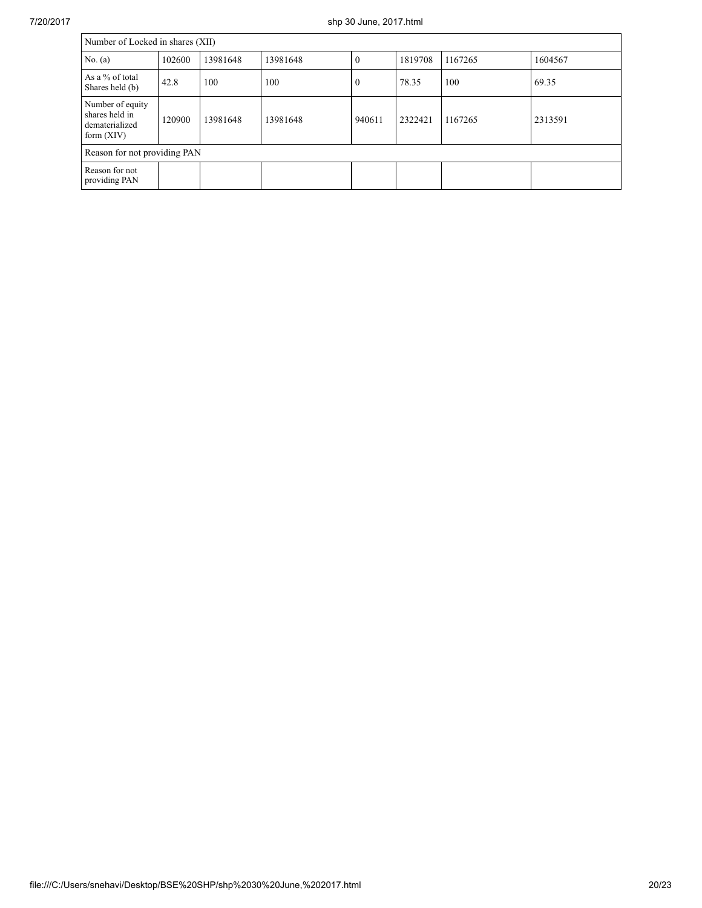| Number of Locked in shares (XII)                                     |        |          |          |              |         |         |         |
|----------------------------------------------------------------------|--------|----------|----------|--------------|---------|---------|---------|
| No. $(a)$                                                            | 102600 | 13981648 | 13981648 | $\mathbf{0}$ | 1819708 | 1167265 | 1604567 |
| As a % of total<br>Shares held (b)                                   | 42.8   | 100      | 100      | $\mathbf{0}$ | 78.35   | 100     | 69.35   |
| Number of equity<br>shares held in<br>dematerialized<br>form $(XIV)$ | 120900 | 13981648 | 13981648 | 940611       | 2322421 | 1167265 | 2313591 |
| Reason for not providing PAN                                         |        |          |          |              |         |         |         |
| Reason for not<br>providing PAN                                      |        |          |          |              |         |         |         |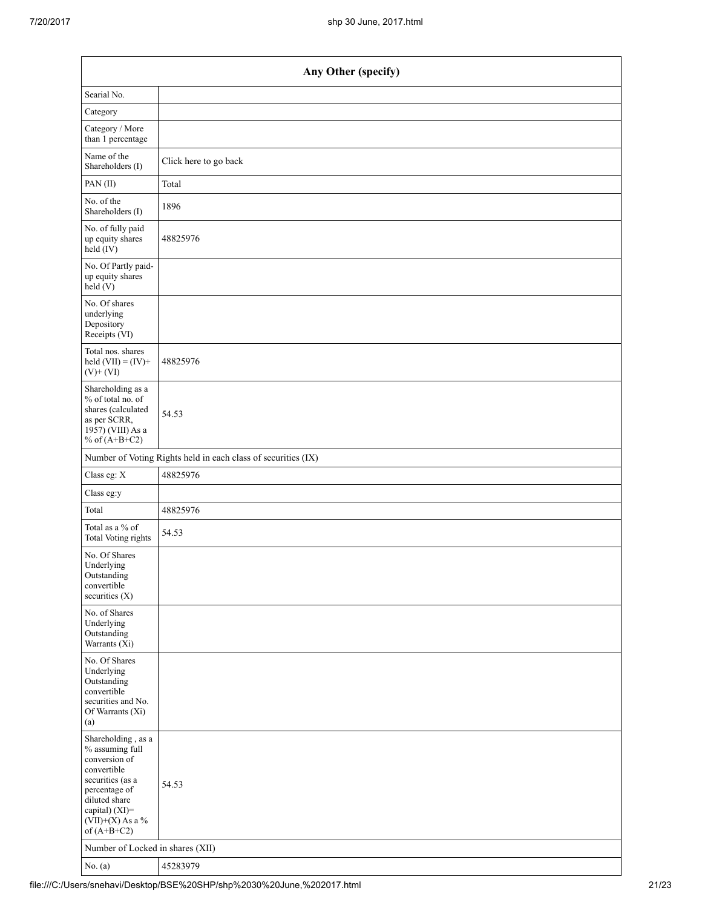| Any Other (specify)                                                                                                                                                                  |                                                               |  |  |  |  |  |  |
|--------------------------------------------------------------------------------------------------------------------------------------------------------------------------------------|---------------------------------------------------------------|--|--|--|--|--|--|
| Searial No.                                                                                                                                                                          |                                                               |  |  |  |  |  |  |
| Category                                                                                                                                                                             |                                                               |  |  |  |  |  |  |
| Category / More<br>than 1 percentage                                                                                                                                                 |                                                               |  |  |  |  |  |  |
| Name of the<br>Shareholders (I)                                                                                                                                                      | Click here to go back                                         |  |  |  |  |  |  |
| PAN(II)                                                                                                                                                                              | Total                                                         |  |  |  |  |  |  |
| No. of the<br>Shareholders (I)                                                                                                                                                       | 1896                                                          |  |  |  |  |  |  |
| No. of fully paid<br>up equity shares<br>held (IV)                                                                                                                                   | 48825976                                                      |  |  |  |  |  |  |
| No. Of Partly paid-<br>up equity shares<br>held(V)                                                                                                                                   |                                                               |  |  |  |  |  |  |
| No. Of shares<br>underlying<br>Depository<br>Receipts (VI)                                                                                                                           |                                                               |  |  |  |  |  |  |
| Total nos. shares<br>held $(VII) = (IV) +$<br>$(V)$ + $(VI)$                                                                                                                         | 48825976                                                      |  |  |  |  |  |  |
| Shareholding as a<br>% of total no. of<br>shares (calculated<br>as per SCRR,<br>1957) (VIII) As a<br>% of $(A+B+C2)$                                                                 | 54.53                                                         |  |  |  |  |  |  |
|                                                                                                                                                                                      | Number of Voting Rights held in each class of securities (IX) |  |  |  |  |  |  |
| Class eg: X                                                                                                                                                                          | 48825976                                                      |  |  |  |  |  |  |
| Class eg:y                                                                                                                                                                           |                                                               |  |  |  |  |  |  |
| Total                                                                                                                                                                                | 48825976                                                      |  |  |  |  |  |  |
| Total as a % of<br>Total Voting rights                                                                                                                                               | 54.53                                                         |  |  |  |  |  |  |
| No. Of Shares<br>Underlying<br>Outstanding<br>convertible<br>securities $(X)$                                                                                                        |                                                               |  |  |  |  |  |  |
| No. of Shares<br>Underlying<br>Outstanding<br>Warrants (Xi)                                                                                                                          |                                                               |  |  |  |  |  |  |
| No. Of Shares<br>Underlying<br>Outstanding<br>convertible<br>securities and No.<br>Of Warrants (Xi)<br>(a)                                                                           |                                                               |  |  |  |  |  |  |
| Shareholding, as a<br>% assuming full<br>conversion of<br>convertible<br>securities (as a<br>percentage of<br>diluted share<br>capital) (XI)=<br>$(VII)+(X)$ As a %<br>of $(A+B+C2)$ | 54.53                                                         |  |  |  |  |  |  |
| Number of Locked in shares (XII)                                                                                                                                                     |                                                               |  |  |  |  |  |  |
| No. $(a)$                                                                                                                                                                            | 45283979                                                      |  |  |  |  |  |  |